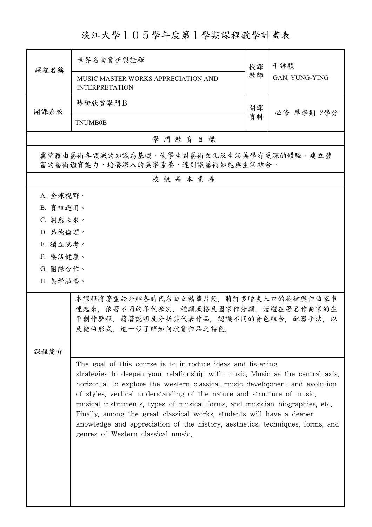淡江大學105學年度第1學期課程教學計畫表

| 課程名稱                                                                        | 世界名曲嘗析與詮釋                                                                                                                                                                                                                                                                                                                                                                                                                                                                                                                                                                             | 授課 | 干詠穎<br>GAN, YUNG-YING |  |  |  |
|-----------------------------------------------------------------------------|---------------------------------------------------------------------------------------------------------------------------------------------------------------------------------------------------------------------------------------------------------------------------------------------------------------------------------------------------------------------------------------------------------------------------------------------------------------------------------------------------------------------------------------------------------------------------------------|----|-----------------------|--|--|--|
|                                                                             | MUSIC MASTER WORKS APPRECIATION AND<br><b>INTERPRETATION</b>                                                                                                                                                                                                                                                                                                                                                                                                                                                                                                                          | 教師 |                       |  |  |  |
| 開課系級                                                                        | 藝術欣賞學門B                                                                                                                                                                                                                                                                                                                                                                                                                                                                                                                                                                               | 開課 |                       |  |  |  |
|                                                                             | <b>TNUMB0B</b>                                                                                                                                                                                                                                                                                                                                                                                                                                                                                                                                                                        | 資料 | 必修 單學期 2學分            |  |  |  |
|                                                                             | 學門教育目標                                                                                                                                                                                                                                                                                                                                                                                                                                                                                                                                                                                |    |                       |  |  |  |
| 冀望藉由藝術各領域的知識為基礎,使學生對藝術文化及生活美學有更深的體驗,建立豐<br>富的藝術鑑賞能力、培養深入的美學素養,達到讓藝術知能與生活結合。 |                                                                                                                                                                                                                                                                                                                                                                                                                                                                                                                                                                                       |    |                       |  |  |  |
| 校級基本素養                                                                      |                                                                                                                                                                                                                                                                                                                                                                                                                                                                                                                                                                                       |    |                       |  |  |  |
| A. 全球視野。                                                                    |                                                                                                                                                                                                                                                                                                                                                                                                                                                                                                                                                                                       |    |                       |  |  |  |
| B. 資訊運用。                                                                    |                                                                                                                                                                                                                                                                                                                                                                                                                                                                                                                                                                                       |    |                       |  |  |  |
| C. 洞悉未來。                                                                    |                                                                                                                                                                                                                                                                                                                                                                                                                                                                                                                                                                                       |    |                       |  |  |  |
| D. 品德倫理。<br>E. 獨立思考。                                                        |                                                                                                                                                                                                                                                                                                                                                                                                                                                                                                                                                                                       |    |                       |  |  |  |
| F. 樂活健康。                                                                    |                                                                                                                                                                                                                                                                                                                                                                                                                                                                                                                                                                                       |    |                       |  |  |  |
| G. 團隊合作。                                                                    |                                                                                                                                                                                                                                                                                                                                                                                                                                                                                                                                                                                       |    |                       |  |  |  |
| H. 美學涵養。                                                                    |                                                                                                                                                                                                                                                                                                                                                                                                                                                                                                                                                                                       |    |                       |  |  |  |
|                                                                             | 本課程將著重於介紹各時代名曲之精華片段,將許多膾炙人口的旋律與作曲家串<br>連起來,依著不同的年代派別、種類風格及國家作分類。漫遊在著名作曲家的生<br>平創作歷程, 藉著說明及分析其代表作品, 認識不同的音色組合, 配器手法, 以<br>及樂曲形式,進一步了解如何欣賞作品之特色。                                                                                                                                                                                                                                                                                                                                                                                                                                        |    |                       |  |  |  |
| 课程简介                                                                        |                                                                                                                                                                                                                                                                                                                                                                                                                                                                                                                                                                                       |    |                       |  |  |  |
|                                                                             | The goal of this course is to introduce ideas and listening<br>strategies to deepen your relationship with music. Music as the central axis,<br>horizontal to explore the western classical music development and evolution<br>of styles, vertical understanding of the nature and structure of music,<br>musical instruments, types of musical forms, and musician biographies, etc.<br>Finally, among the great classical works, students will have a deeper<br>knowledge and appreciation of the history, aesthetics, techniques, forms, and<br>genres of Western classical music. |    |                       |  |  |  |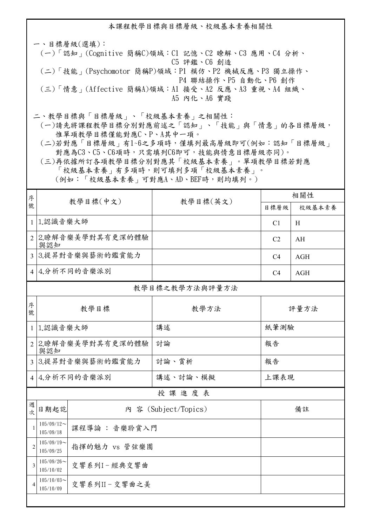本課程教學目標與目標層級、校級基本素養相關性

一、目標層級(選填): (一)「認知」(Cognitive 簡稱C)領域:C1 記憶、C2 瞭解、C3 應用、C4 分析、 C5 評鑑、C6 創造 (二)「技能」(Psychomotor 簡稱P)領域:P1 模仿、P2 機械反應、P3 獨立操作、 P4 聯結操作、P5 自動化、P6 創作

 (三)「情意」(Affective 簡稱A)領域:A1 接受、A2 反應、A3 重視、A4 組織、 A5 內化、A6 實踐

二、教學目標與「目標層級」、「校級基本素養」之相關性:

 (一)請先將課程教學目標分別對應前述之「認知」、「技能」與「情意」的各目標層級, 惟單項教學目標僅能對應C、P、A其中一項。

 (二)若對應「目標層級」有1~6之多項時,僅填列最高層級即可(例如:認知「目標層級」 對應為C3、C5、C6項時,只需填列C6即可,技能與情意目標層級亦同)。

 (三)再依據所訂各項教學目標分別對應其「校級基本素養」。單項教學目標若對應 「校級基本素養」有多項時,則可填列多項「校級基本素養」。 (例如:「校級基本素養」可對應A、AD、BEF時,則均填列。)

| 序              |                            |                    | 相關性                  |                |            |
|----------------|----------------------------|--------------------|----------------------|----------------|------------|
| 號              |                            | 教學目標(中文)           | 教學目標(英文)             | 目標層級           | 校級基本素養     |
| $\mathbf{1}$   | 1.認識音樂大師                   |                    |                      | C1             | H          |
|                | 與認知                        | 2 2.瞭解音樂美學對其有更深的體驗 |                      | C <sub>2</sub> | AH         |
|                |                            | 3 3.提昇對音樂與藝術的鑑賞能力  |                      | C <sub>4</sub> | AGH        |
|                |                            | 4 4.分析不同的音樂派別      |                      | C <sub>4</sub> | <b>AGH</b> |
| 教學目標之教學方法與評量方法 |                            |                    |                      |                |            |
| 序<br>號         | 教學目標                       |                    | 教學方法                 | 評量方法           |            |
|                | 1 1.認識音樂大師                 |                    | 講述                   | 紙筆測驗           |            |
|                | 2 2.瞭解音樂美學對其有更深的體驗<br>與認知  |                    | 討論                   | 報告             |            |
|                | 3 3.提昇對音樂與藝術的鑑賞能力          |                    | 討論、賞析                | 報告             |            |
|                | 4 4.分析不同的音樂派別              |                    | 講述、討論、模擬             | 上課表現           |            |
| 授課進度表          |                            |                    |                      |                |            |
| 週<br>一次        | 日期起訖                       |                    | 内 容 (Subject/Topics) |                | 備註         |
| $\mathbf{1}$   | $105/09/12$ ~<br>105/09/18 | 課程導論:音樂聆賞入門        |                      |                |            |
| $\overline{2}$ | $105/09/19$ ~<br>105/09/25 | 指揮的魅力 vs 管弦樂團      |                      |                |            |
| $\overline{3}$ | $105/09/26$ ~<br>105/10/02 | 交響系列I-經典交響曲        |                      |                |            |
| $\overline{4}$ | $105/10/03$ ~<br>105/10/09 | 交響系列II-交響曲之美       |                      |                |            |
|                |                            |                    |                      |                |            |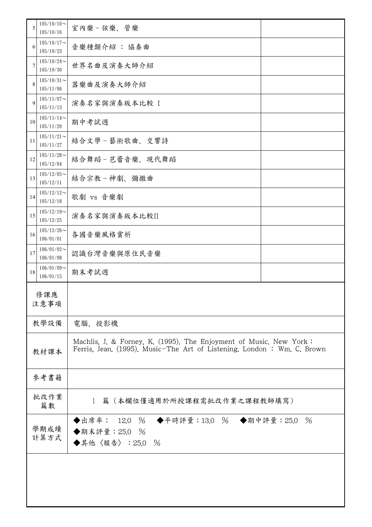| 5  | $105/10/10$ ~<br>105/10/16 | 室內樂-弦樂、管樂                                                                                                                                    |      |
|----|----------------------------|----------------------------------------------------------------------------------------------------------------------------------------------|------|
| 6  | $105/10/17$ ~<br>105/10/23 | 音樂種類介紹 : 協奏曲                                                                                                                                 |      |
| 7  | $105/10/24$ ~<br>105/10/30 | 世界名曲及演奏大師介紹                                                                                                                                  |      |
| 8  | $105/10/31$ ~<br>105/11/06 | 器樂曲及演奏大師介紹                                                                                                                                   |      |
| 9  | $105/11/07$ ~<br>105/11/13 | 演奏名家與演奏版本比較 I                                                                                                                                |      |
| 10 | $105/11/14$ ~<br>105/11/20 | 期中考試週                                                                                                                                        |      |
| 11 | $105/11/21$ ~<br>105/11/27 | 結合文學-藝術歌曲、交響詩                                                                                                                                |      |
| 12 | $105/11/28$ ~<br>105/12/04 | 結合舞蹈-芭蕾音樂、現代舞蹈                                                                                                                               |      |
| 13 | $105/12/05$ ~<br>105/12/11 | 結合宗教-神劇、彌撒曲                                                                                                                                  |      |
| 14 | $105/12/12$ ~<br>105/12/18 | 歌劇 vs 音樂劇                                                                                                                                    |      |
| 15 | $105/12/19$ ~<br>105/12/25 | 演奏名家與演奏版本比較II                                                                                                                                |      |
| 16 | $105/12/26$ ~<br>106/01/01 | 各國音樂風格賞析                                                                                                                                     |      |
| 17 | $106/01/02$ ~<br>106/01/08 | 認識台灣音樂與原住民音樂                                                                                                                                 |      |
| 18 | $106/01/09$ ~<br>106/01/15 | 期末考試週                                                                                                                                        |      |
|    | 修課應<br>注意事項                |                                                                                                                                              |      |
|    | 教學設備                       | 電腦、投影機                                                                                                                                       |      |
|    | 教材課本                       | Machlis, J. & Forney, K. (1995). The Enjoyment of Music. New York:<br>Ferris, Jean. (1995). Music-The Art of Listening. London: Wm. C. Brown |      |
|    | 參考書籍                       |                                                                                                                                              |      |
|    | 批改作業<br>篇數                 | 篇(本欄位僅適用於所授課程需批改作業之課程教師填寫)<br>$\mathbf{1}$                                                                                                   |      |
|    | 學期成績<br>計算方式               | ◆出席率: 12.0 % ◆平時評量:13.0 % ◆期中評量:25.0<br>◆期末評量: 25.0 %<br>◆其他〈報告〉: 25.0 %                                                                     | $\%$ |
|    |                            |                                                                                                                                              |      |